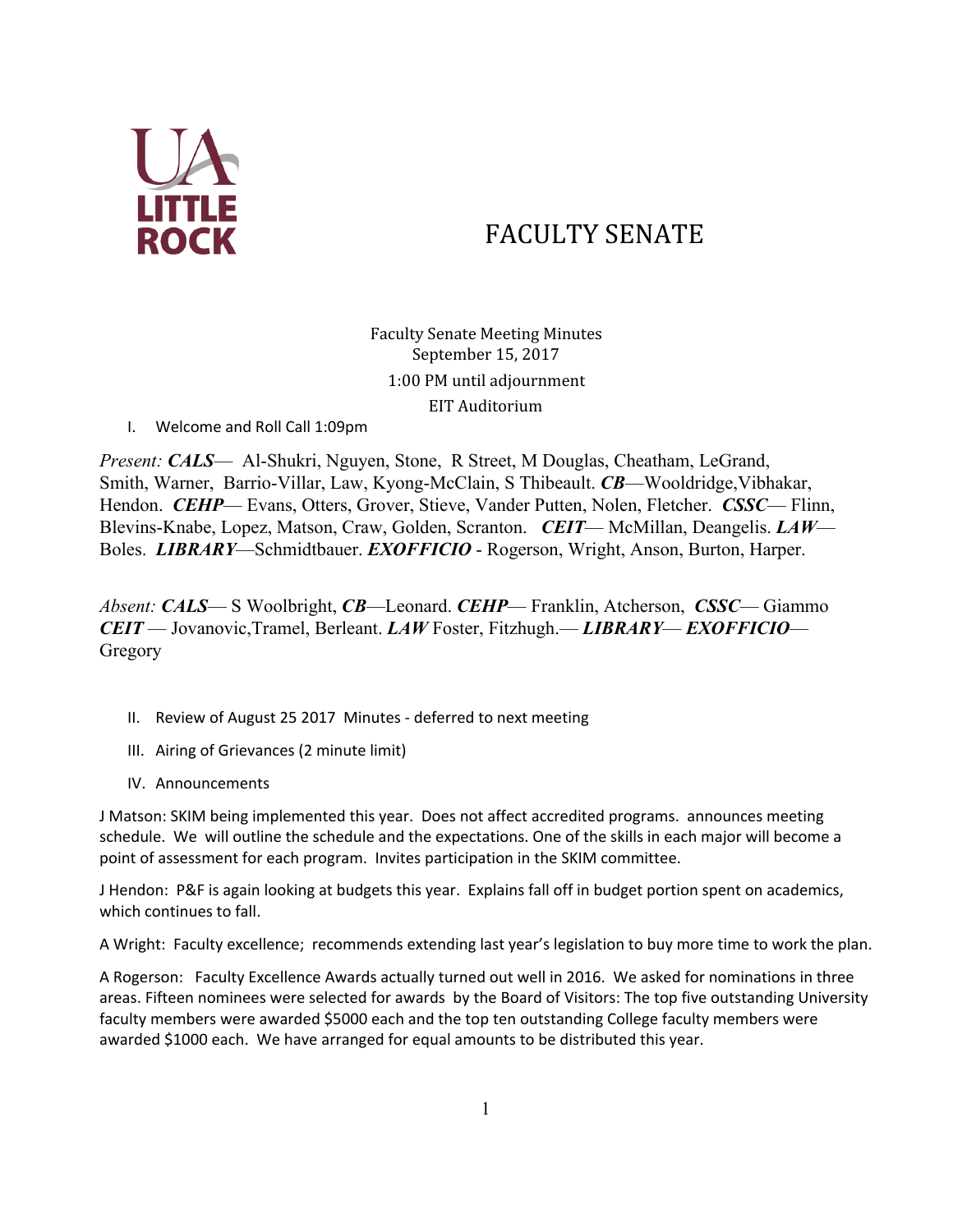

# FACULTY SENATE

Faculty Senate Meeting Minutes September 15, 2017 1:00 PM until adjournment EIT Auditorium

I. Welcome and Roll Call 1:09pm

*Present: CALS*— Al-Shukri, Nguyen, Stone, R Street, M Douglas, Cheatham, LeGrand, Smith, Warner, Barrio-Villar, Law, Kyong-McClain, S Thibeault. *CB*—Wooldridge,Vibhakar, Hendon. *CEHP*— Evans, Otters, Grover, Stieve, Vander Putten, Nolen, Fletcher. *CSSC*— Flinn, Blevins-Knabe, Lopez, Matson, Craw, Golden, Scranton. *CEIT*— McMillan, Deangelis. *LAW*— Boles. *LIBRARY*—Schmidtbauer. *EXOFFICIO* - Rogerson, Wright, Anson, Burton, Harper.

*Absent: CALS*— S Woolbright, *CB*—Leonard. *CEHP*— Franklin, Atcherson, *CSSC*— Giammo *CEIT* — Jovanovic,Tramel, Berleant. *LAW* Foster, Fitzhugh.— *LIBRARY*— *EXOFFICIO*— Gregory

- II. Review of August 25 2017 Minutes deferred to next meeting
- III. Airing of Grievances (2 minute limit)
- IV. Announcements

J Matson: SKIM being implemented this year. Does not affect accredited programs. announces meeting schedule. We will outline the schedule and the expectations. One of the skills in each major will become a point of assessment for each program. Invites participation in the SKIM committee.

J Hendon: P&F is again looking at budgets this year. Explains fall off in budget portion spent on academics, which continues to fall.

A Wright: Faculty excellence; recommends extending last year's legislation to buy more time to work the plan.

A Rogerson: Faculty Excellence Awards actually turned out well in 2016. We asked for nominations in three areas. Fifteen nominees were selected for awards by the Board of Visitors: The top five outstanding University faculty members were awarded \$5000 each and the top ten outstanding College faculty members were awarded \$1000 each. We have arranged for equal amounts to be distributed this year.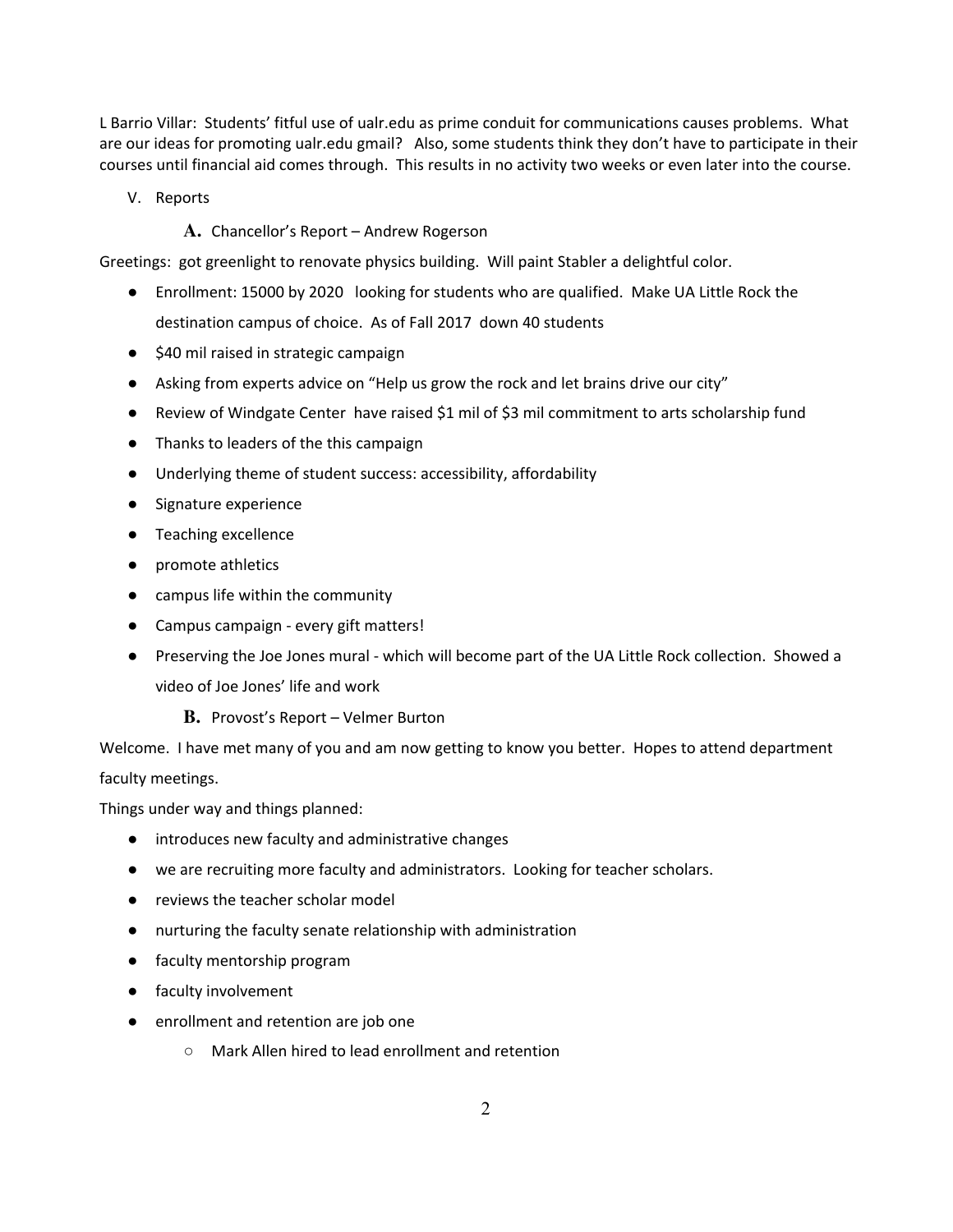L Barrio Villar: Students' fitful use of ualr.edu as prime conduit for communications causes problems. What are our ideas for promoting ualr.edu gmail? Also, some students think they don't have to participate in their courses until financial aid comes through. This results in no activity two weeks or even later into the course.

V. Reports

# **A.** Chancellor's Report – Andrew Rogerson

Greetings: got greenlight to renovate physics building. Will paint Stabler a delightful color.

- Enrollment: 15000 by 2020 looking for students who are qualified. Make UA Little Rock the destination campus of choice. As of Fall 2017 down 40 students
- \$40 mil raised in strategic campaign
- Asking from experts advice on "Help us grow the rock and let brains drive our city"
- Review of Windgate Center have raised \$1 mil of \$3 mil commitment to arts scholarship fund
- Thanks to leaders of the this campaign
- Underlying theme of student success: accessibility, affordability
- Signature experience
- Teaching excellence
- promote athletics
- campus life within the community
- Campus campaign every gift matters!
- Preserving the Joe Jones mural which will become part of the UA Little Rock collection. Showed a video of Joe Jones' life and work
	- **B.** Provost's Report Velmer Burton

Welcome. I have met many of you and am now getting to know you better. Hopes to attend department faculty meetings.

Things under way and things planned:

- introduces new faculty and administrative changes
- we are recruiting more faculty and administrators. Looking for teacher scholars.
- reviews the teacher scholar model
- nurturing the faculty senate relationship with administration
- faculty mentorship program
- faculty involvement
- enrollment and retention are job one
	- Mark Allen hired to lead enrollment and retention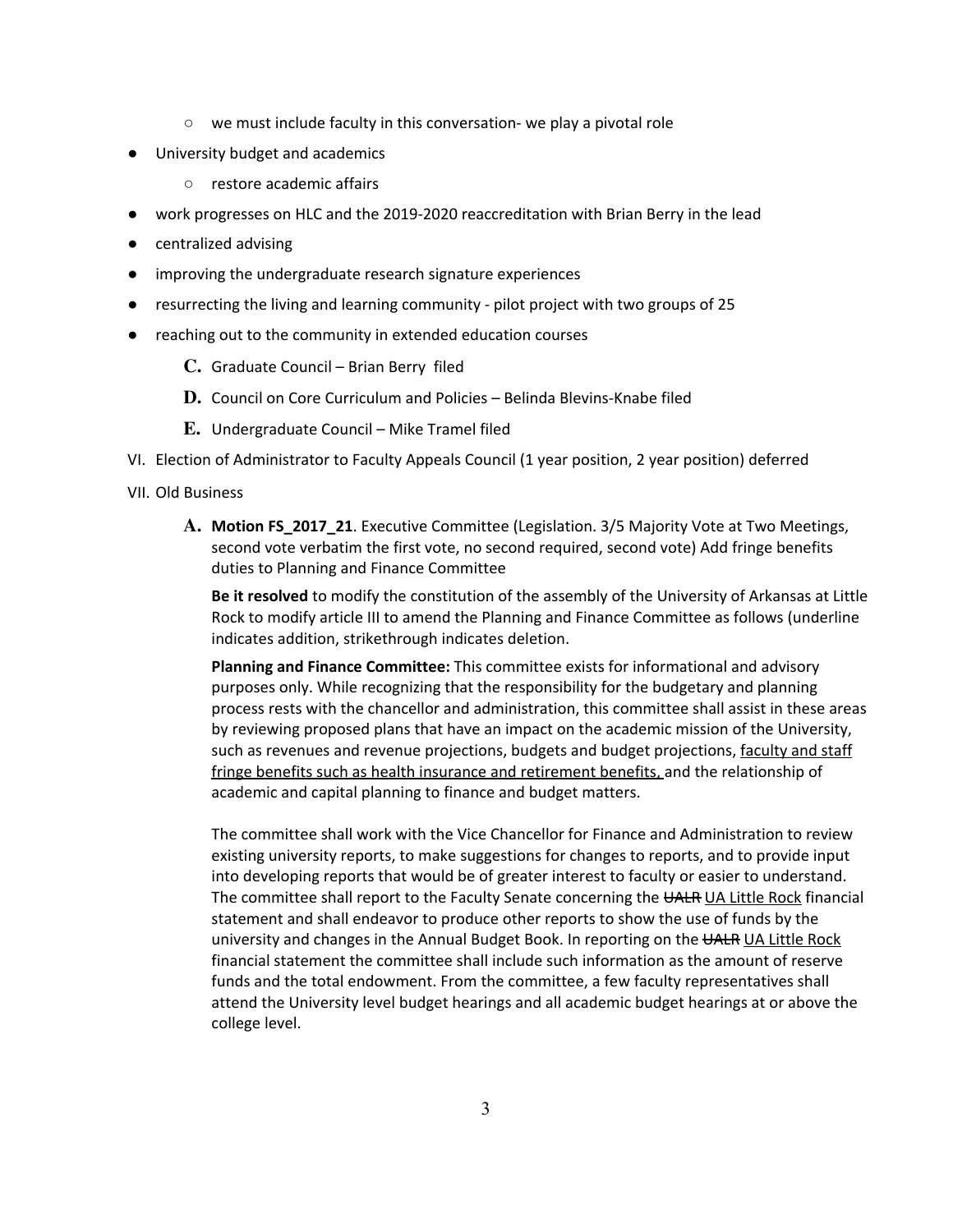- we must include faculty in this conversation- we play a pivotal role
- University budget and academics
	- restore academic affairs
- work progresses on HLC and the 2019-2020 reaccreditation with Brian Berry in the lead
- centralized advising
- improving the undergraduate research signature experiences
- resurrecting the living and learning community pilot project with two groups of 25
- reaching out to the community in extended education courses
	- **C.** Graduate Council Brian Berry filed
	- **D.** Council on Core Curriculum and Policies Belinda Blevins-Knabe filed
	- **E.** Undergraduate Council Mike Tramel filed
- VI. Election of Administrator to Faculty Appeals Council (1 year position, 2 year position) deferred

## VII. Old Business

**A.** Motion FS\_2017\_21. Executive Committee (Legislation. 3/5 Majority Vote at Two Meetings, second vote verbatim the first vote, no second required, second vote) Add fringe benefits duties to Planning and Finance Committee

Be it resolved to modify the constitution of the assembly of the University of Arkansas at Little Rock to modify article III to amend the Planning and Finance Committee as follows (underline indicates addition, strikethrough indicates deletion.

Planning and Finance Committee: This committee exists for informational and advisory purposes only. While recognizing that the responsibility for the budgetary and planning process rests with the chancellor and administration, this committee shall assist in these areas by reviewing proposed plans that have an impact on the academic mission of the University, such as revenues and revenue projections, budgets and budget projections, faculty and staff fringe benefits such as health insurance and retirement benefits, and the relationship of academic and capital planning to finance and budget matters.

The committee shall work with the Vice Chancellor for Finance and Administration to review existing university reports, to make suggestions for changes to reports, and to provide input into developing reports that would be of greater interest to faculty or easier to understand. The committee shall report to the Faculty Senate concerning the UALR UA Little Rock financial statement and shall endeavor to produce other reports to show the use of funds by the university and changes in the Annual Budget Book. In reporting on the UALR UA Little Rock financial statement the committee shall include such information as the amount of reserve funds and the total endowment. From the committee, a few faculty representatives shall attend the University level budget hearings and all academic budget hearings at or above the college level.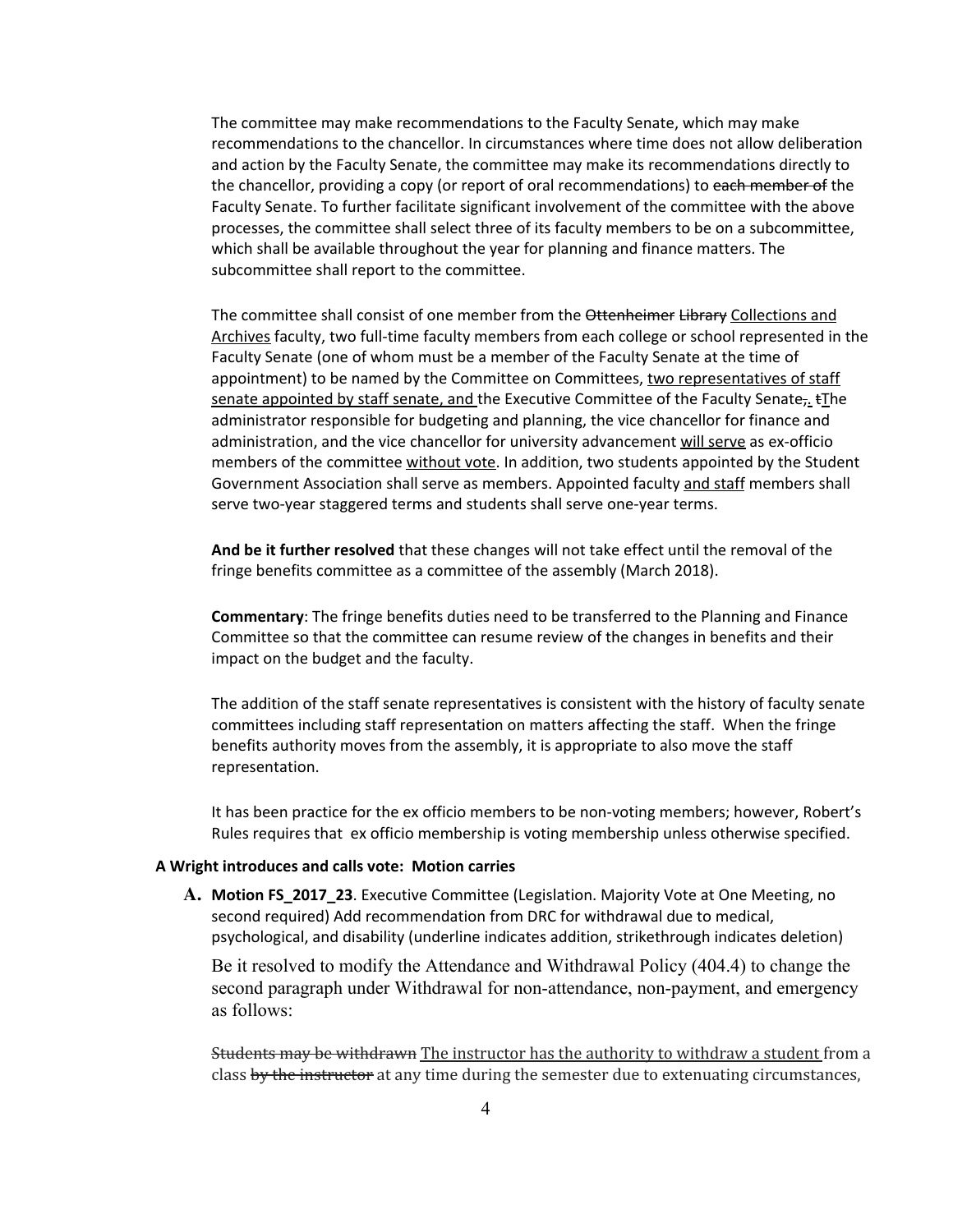The committee may make recommendations to the Faculty Senate, which may make recommendations to the chancellor. In circumstances where time does not allow deliberation and action by the Faculty Senate, the committee may make its recommendations directly to the chancellor, providing a copy (or report of oral recommendations) to each member of the Faculty Senate. To further facilitate significant involvement of the committee with the above processes, the committee shall select three of its faculty members to be on a subcommittee, which shall be available throughout the year for planning and finance matters. The subcommittee shall report to the committee.

The committee shall consist of one member from the Ottenheimer Library Collections and Archives faculty, two full-time faculty members from each college or school represented in the Faculty Senate (one of whom must be a member of the Faculty Senate at the time of appointment) to be named by the Committee on Committees, two representatives of staff senate appointed by staff senate, and the Executive Committee of the Faculty Senate,  $\pm$ The administrator responsible for budgeting and planning, the vice chancellor for finance and administration, and the vice chancellor for university advancement will serve as ex-officio members of the committee without vote. In addition, two students appointed by the Student Government Association shall serve as members. Appointed faculty and staff members shall serve two-year staggered terms and students shall serve one-year terms.

And be it further resolved that these changes will not take effect until the removal of the fringe benefits committee as a committee of the assembly (March 2018).

Commentary: The fringe benefits duties need to be transferred to the Planning and Finance Committee so that the committee can resume review of the changes in benefits and their impact on the budget and the faculty.

The addition of the staff senate representatives is consistent with the history of faculty senate committees including staff representation on matters affecting the staff. When the fringe benefits authority moves from the assembly, it is appropriate to also move the staff representation.

It has been practice for the ex officio members to be non-voting members; however, Robert's Rules requires that ex officio membership is voting membership unless otherwise specified.

#### A Wright introduces and calls vote: Motion carries

**A.** Motion FS\_2017\_23. Executive Committee (Legislation. Majority Vote at One Meeting, no second required) Add recommendation from DRC for withdrawal due to medical, psychological, and disability (underline indicates addition, strikethrough indicates deletion)

Be it resolved to modify the Attendance and Withdrawal Policy (404.4) to change the second paragraph under Withdrawal for non-attendance, non-payment, and emergency as follows:

**Students may be withdrawn** The instructor has the authority to withdraw a student from a class by the instructor at any time during the semester due to extenuating circumstances,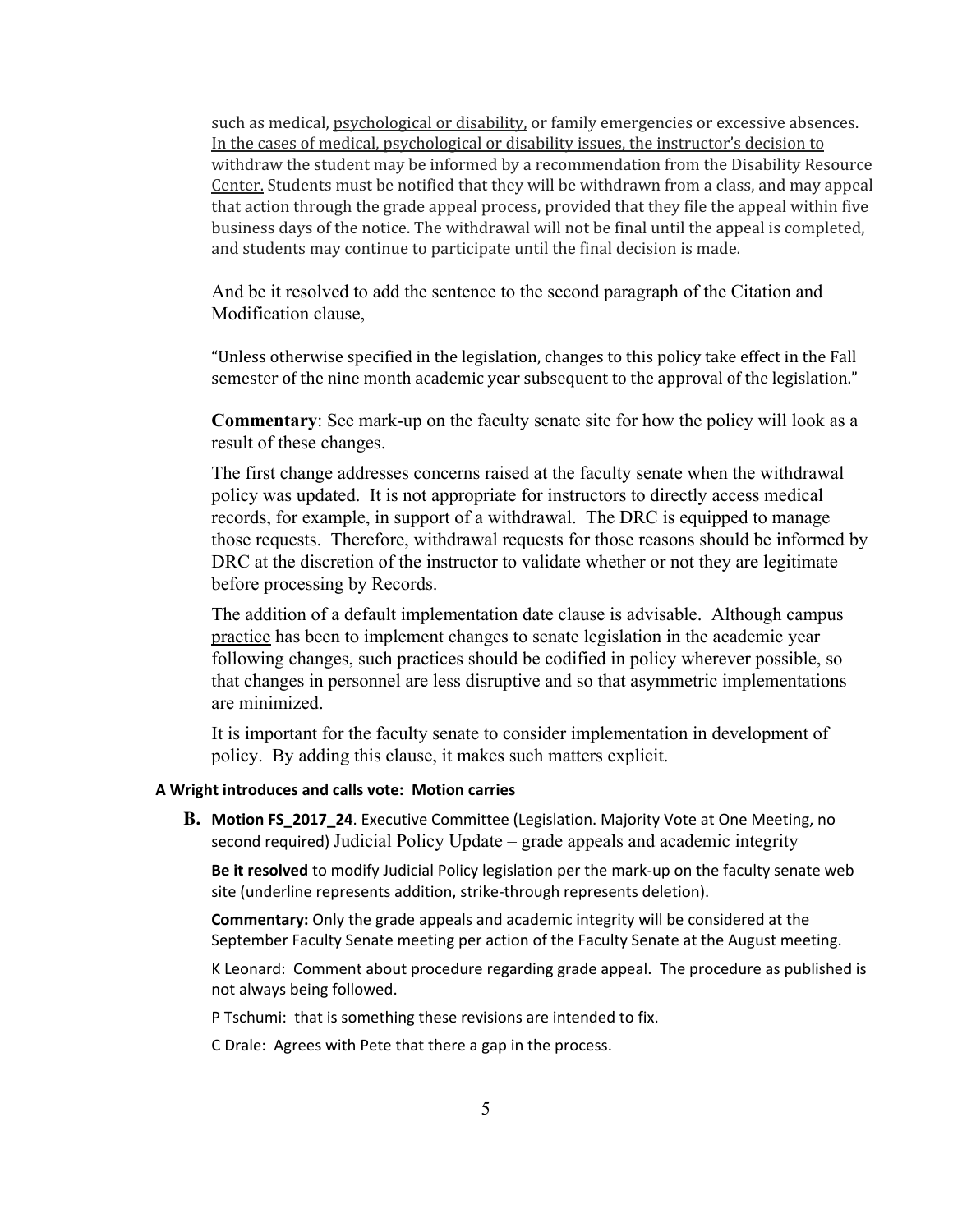such as medical, psychological or disability, or family emergencies or excessive absences. In the cases of medical, psychological or disability issues, the instructor's decision to withdraw the student may be informed by a recommendation from the Disability Resource Center. Students must be notified that they will be withdrawn from a class, and may appeal that action through the grade appeal process, provided that they file the appeal within five business days of the notice. The withdrawal will not be final until the appeal is completed, and students may continue to participate until the final decision is made.

And be it resolved to add the sentence to the second paragraph of the Citation and Modification clause,

"Unless otherwise specified in the legislation, changes to this policy take effect in the Fall semester of the nine month academic year subsequent to the approval of the legislation."

**Commentary**: See mark-up on the faculty senate site for how the policy will look as a result of these changes.

The first change addresses concerns raised at the faculty senate when the withdrawal policy was updated. It is not appropriate for instructors to directly access medical records, for example, in support of a withdrawal. The DRC is equipped to manage those requests. Therefore, withdrawal requests for those reasons should be informed by DRC at the discretion of the instructor to validate whether or not they are legitimate before processing by Records.

The addition of a default implementation date clause is advisable. Although campus practice has been to implement changes to senate legislation in the academic year following changes, such practices should be codified in policy wherever possible, so that changes in personnel are less disruptive and so that asymmetric implementations are minimized.

It is important for the faculty senate to consider implementation in development of policy. By adding this clause, it makes such matters explicit.

### A Wright introduces and calls vote: Motion carries

**B.** Motion FS\_2017\_24. Executive Committee (Legislation. Majority Vote at One Meeting, no second required) Judicial Policy Update – grade appeals and academic integrity

Be it resolved to modify Judicial Policy legislation per the mark-up on the faculty senate web site (underline represents addition, strike-through represents deletion).

Commentary: Only the grade appeals and academic integrity will be considered at the September Faculty Senate meeting per action of the Faculty Senate at the August meeting.

K Leonard: Comment about procedure regarding grade appeal. The procedure as published is not always being followed.

P Tschumi: that is something these revisions are intended to fix.

C Drale: Agrees with Pete that there a gap in the process.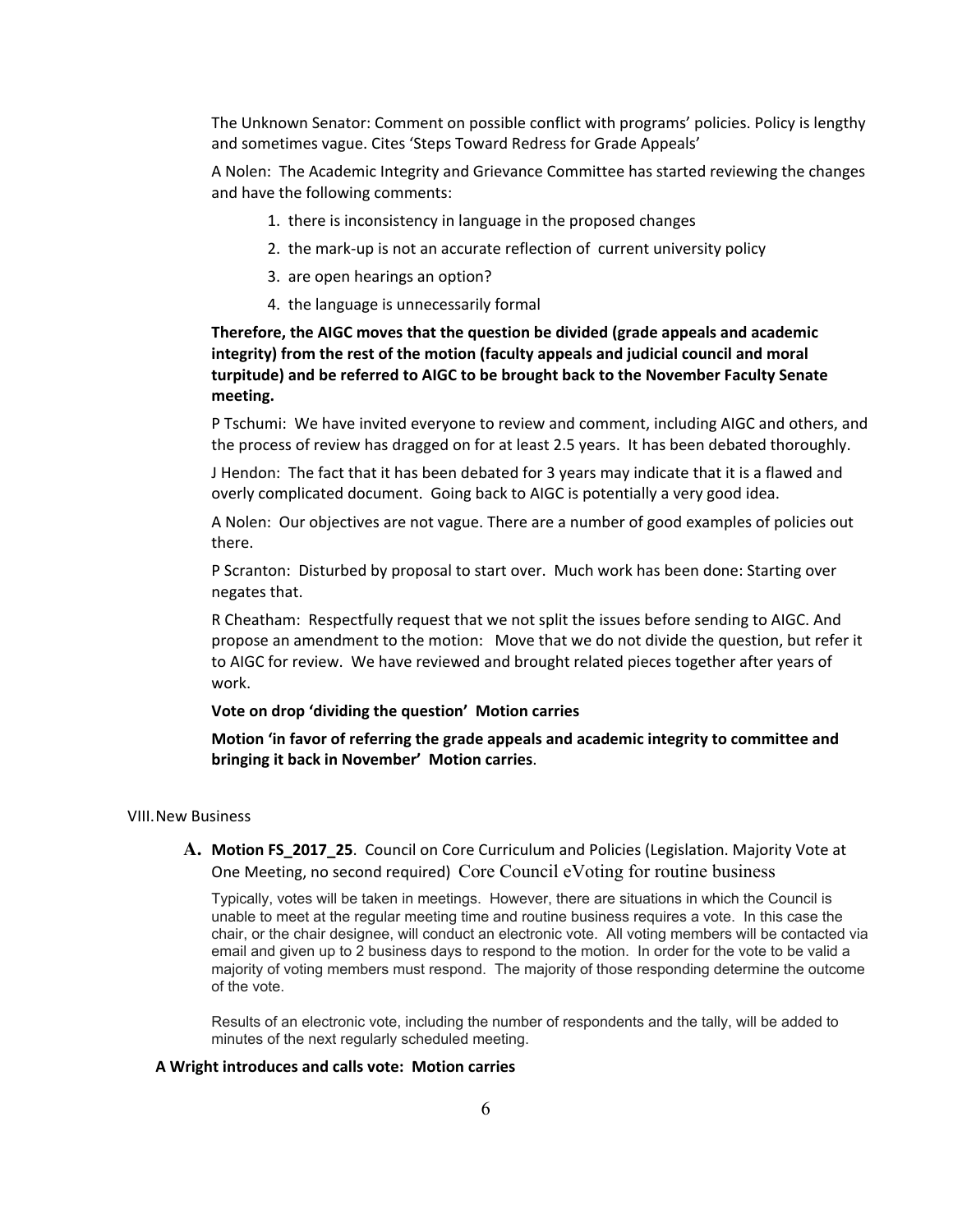The Unknown Senator: Comment on possible conflict with programs' policies. Policy is lengthy and sometimes vague. Cites 'Steps Toward Redress for Grade Appeals'

A Nolen: The Academic Integrity and Grievance Committee has started reviewing the changes and have the following comments:

- 1. there is inconsistency in language in the proposed changes
- 2. the mark-up is not an accurate reflection of current university policy
- 3. are open hearings an option?
- 4. the language is unnecessarily formal

# Therefore, the AIGC moves that the question be divided (grade appeals and academic integrity) from the rest of the motion (faculty appeals and judicial council and moral turpitude) and be referred to AIGC to be brought back to the November Faculty Senate meeting.

P Tschumi: We have invited everyone to review and comment, including AIGC and others, and the process of review has dragged on for at least 2.5 years. It has been debated thoroughly.

J Hendon: The fact that it has been debated for 3 years may indicate that it is a flawed and overly complicated document. Going back to AIGC is potentially a very good idea.

A Nolen: Our objectives are not vague. There are a number of good examples of policies out there.

P Scranton: Disturbed by proposal to start over. Much work has been done: Starting over negates that.

R Cheatham: Respectfully request that we not split the issues before sending to AIGC. And propose an amendment to the motion: Move that we do not divide the question, but refer it to AIGC for review. We have reviewed and brought related pieces together after years of work.

#### Vote on drop 'dividing the question' Motion carries

Motion 'in favor of referring the grade appeals and academic integrity to committee and bringing it back in November' Motion carries.

#### VIII.New Business

## **A.** Motion FS\_2017\_25. Council on Core Curriculum and Policies (Legislation. Majority Vote at One Meeting, no second required) Core Council eVoting for routine business

Typically, votes will be taken in meetings. However, there are situations in which the Council is unable to meet at the regular meeting time and routine business requires a vote. In this case the chair, or the chair designee, will conduct an electronic vote. All voting members will be contacted via email and given up to 2 business days to respond to the motion. In order for the vote to be valid a majority of voting members must respond. The majority of those responding determine the outcome of the vote.

Results of an electronic vote, including the number of respondents and the tally, will be added to minutes of the next regularly scheduled meeting.

#### A Wright introduces and calls vote: Motion carries